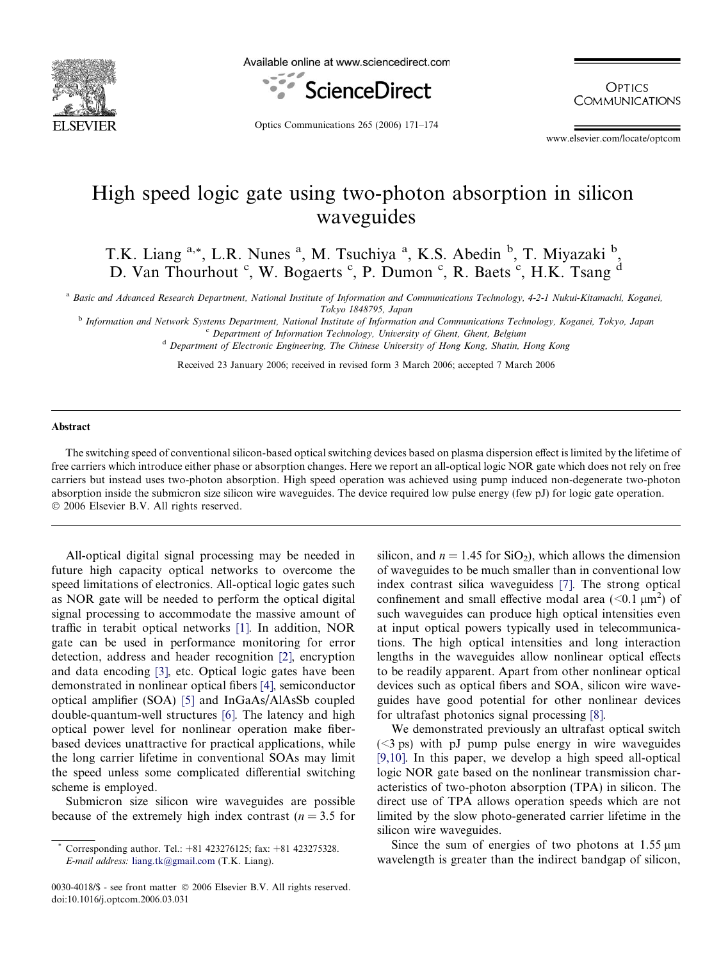

Available online at www.sciencedirect.com



**OPTICS COMMUNICATIONS** 

Optics Communications 265 (2006) 171–174

www.elsevier.com/locate/optcom

## High speed logic gate using two-photon absorption in silicon waveguides

T.K. Liang <sup>a,\*</sup>, L.R. Nunes <sup>a</sup>, M. Tsuchiya <sup>a</sup>, K.S. Abedin <sup>b</sup>, T. Miyazaki <sup>b</sup>, D. Van Thourhout <sup>c</sup>, W. Bogaerts <sup>c</sup>, P. Dumon <sup>c</sup>, R. Baets <sup>c</sup>, H.K. Tsang <sup>d</sup>

<sup>a</sup> Basic and Advanced Research Department, National Institute of Information and Communications Technology, 4-2-1 Nukui-Kitamachi, Koganei, Tokyo 1848795, Japan

<sup>b</sup> Information and Network Systems Department, National Institute of Information and Communications Technology, Koganei, Tokyo, Japan <sup>c</sup> Department of Information Technology, University of Ghent, Ghent, Belgium <sup>d</sup> Department of Electronic Engineering, The Chinese University of Hong Kong, Shatin, Hong Kong

Received 23 January 2006; received in revised form 3 March 2006; accepted 7 March 2006

## Abstract

The switching speed of conventional silicon-based optical switching devices based on plasma dispersion effect is limited by the lifetime of free carriers which introduce either phase or absorption changes. Here we report an all-optical logic NOR gate which does not rely on free carriers but instead uses two-photon absorption. High speed operation was achieved using pump induced non-degenerate two-photon absorption inside the submicron size silicon wire waveguides. The device required low pulse energy (few pJ) for logic gate operation. © 2006 Elsevier B.V. All rights reserved.

All-optical digital signal processing may be needed in future high capacity optical networks to overcome the speed limitations of electronics. All-optical logic gates such as NOR gate will be needed to perform the optical digital signal processing to accommodate the massive amount of traffic in terabit optical networks [\[1\]](#page-3-0). In addition, NOR gate can be used in performance monitoring for error detection, address and header recognition [\[2\],](#page-3-0) encryption and data encoding [\[3\],](#page-3-0) etc. Optical logic gates have been demonstrated in nonlinear optical fibers [\[4\],](#page-3-0) semiconductor optical amplifier (SOA) [\[5\]](#page-3-0) and InGaAs/AlAsSb coupled double-quantum-well structures [\[6\].](#page-3-0) The latency and high optical power level for nonlinear operation make fiberbased devices unattractive for practical applications, while the long carrier lifetime in conventional SOAs may limit the speed unless some complicated differential switching scheme is employed.

Submicron size silicon wire waveguides are possible because of the extremely high index contrast ( $n = 3.5$  for silicon, and  $n = 1.45$  for SiO<sub>2</sub>), which allows the dimension of waveguides to be much smaller than in conventional low index contrast silica waveguidess [\[7\].](#page-3-0) The strong optical confinement and small effective modal area  $(< 0.1 \mu m^2)$  of such waveguides can produce high optical intensities even at input optical powers typically used in telecommunications. The high optical intensities and long interaction lengths in the waveguides allow nonlinear optical effects to be readily apparent. Apart from other nonlinear optical devices such as optical fibers and SOA, silicon wire waveguides have good potential for other nonlinear devices for ultrafast photonics signal processing [\[8\]](#page-3-0).

We demonstrated previously an ultrafast optical switch  $(<$ 3 ps) with pJ pump pulse energy in wire waveguides [\[9,10\].](#page-3-0) In this paper, we develop a high speed all-optical logic NOR gate based on the nonlinear transmission characteristics of two-photon absorption (TPA) in silicon. The direct use of TPA allows operation speeds which are not limited by the slow photo-generated carrier lifetime in the silicon wire waveguides.

Since the sum of energies of two photons at  $1.55 \mu m$ wavelength is greater than the indirect bandgap of silicon,

<sup>\*</sup> Corresponding author. Tel.: +81 423276125; fax: +81 423275328. E-mail address: [liang.tk@gmail.com](mailto:liang.tk@gmail.com) (T.K. Liang).

<sup>0030-4018/\$ -</sup> see front matter © 2006 Elsevier B.V. All rights reserved. doi:10.1016/j.optcom.2006.03.031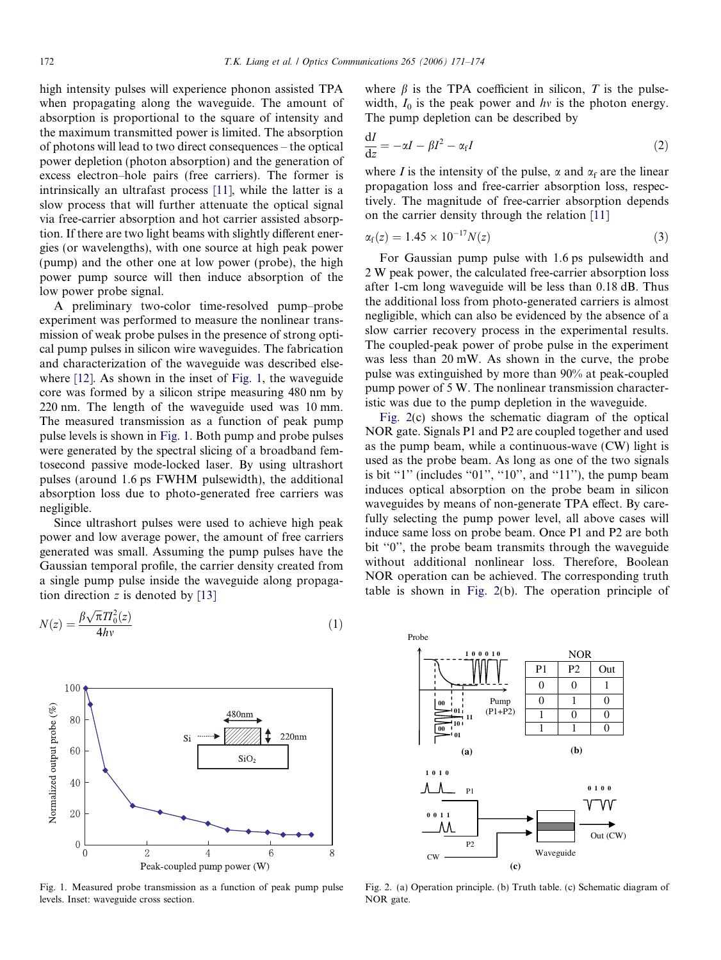<span id="page-1-0"></span>high intensity pulses will experience phonon assisted TPA when propagating along the waveguide. The amount of absorption is proportional to the square of intensity and the maximum transmitted power is limited. The absorption of photons will lead to two direct consequences – the optical power depletion (photon absorption) and the generation of excess electron–hole pairs (free carriers). The former is intrinsically an ultrafast process [\[11\],](#page-3-0) while the latter is a slow process that will further attenuate the optical signal via free-carrier absorption and hot carrier assisted absorption. If there are two light beams with slightly different energies (or wavelengths), with one source at high peak power (pump) and the other one at low power (probe), the high power pump source will then induce absorption of the low power probe signal.

A preliminary two-color time-resolved pump–probe experiment was performed to measure the nonlinear transmission of weak probe pulses in the presence of strong optical pump pulses in silicon wire waveguides. The fabrication and characterization of the waveguide was described elsewhere [\[12\].](#page-3-0) As shown in the inset of Fig. 1, the waveguide core was formed by a silicon stripe measuring 480 nm by 220 nm. The length of the waveguide used was 10 mm. The measured transmission as a function of peak pump pulse levels is shown in Fig. 1. Both pump and probe pulses were generated by the spectral slicing of a broadband femtosecond passive mode-locked laser. By using ultrashort pulses (around 1.6 ps FWHM pulsewidth), the additional absorption loss due to photo-generated free carriers was negligible.

Since ultrashort pulses were used to achieve high peak power and low average power, the amount of free carriers generated was small. Assuming the pump pulses have the Gaussian temporal profile, the carrier density created from a single pump pulse inside the waveguide along propagation direction z is denoted by  $[13]$ 

$$
N(z) = \frac{\beta \sqrt{\pi} T I_0^2(z)}{4hv} \tag{1}
$$



Fig. 1. Measured probe transmission as a function of peak pump pulse levels. Inset: waveguide cross section.

where  $\beta$  is the TPA coefficient in silicon, T is the pulsewidth,  $I_0$  is the peak power and hv is the photon energy. The pump depletion can be described by

$$
\frac{\mathrm{d}I}{\mathrm{d}z} = -\alpha I - \beta I^2 - \alpha_f I \tag{2}
$$

where I is the intensity of the pulse,  $\alpha$  and  $\alpha_f$  are the linear propagation loss and free-carrier absorption loss, respectively. The magnitude of free-carrier absorption depends on the carrier density through the relation [\[11\]](#page-3-0)

$$
\alpha_{\rm f}(z) = 1.45 \times 10^{-17} N(z) \tag{3}
$$

For Gaussian pump pulse with 1.6 ps pulsewidth and 2 W peak power, the calculated free-carrier absorption loss after 1-cm long waveguide will be less than 0.18 dB. Thus the additional loss from photo-generated carriers is almost negligible, which can also be evidenced by the absence of a slow carrier recovery process in the experimental results. The coupled-peak power of probe pulse in the experiment was less than 20 mW. As shown in the curve, the probe pulse was extinguished by more than 90% at peak-coupled pump power of 5 W. The nonlinear transmission characteristic was due to the pump depletion in the waveguide.

Fig. 2(c) shows the schematic diagram of the optical NOR gate. Signals P1 and P2 are coupled together and used as the pump beam, while a continuous-wave (CW) light is used as the probe beam. As long as one of the two signals is bit " $1$ " (includes " $01$ ", " $10$ ", and " $11$ "), the pump beam induces optical absorption on the probe beam in silicon waveguides by means of non-generate TPA effect. By carefully selecting the pump power level, all above cases will induce same loss on probe beam. Once P1 and P2 are both bit "0", the probe beam transmits through the waveguide without additional nonlinear loss. Therefore, Boolean NOR operation can be achieved. The corresponding truth table is shown in Fig. 2(b). The operation principle of



Fig. 2. (a) Operation principle. (b) Truth table. (c) Schematic diagram of NOR gate.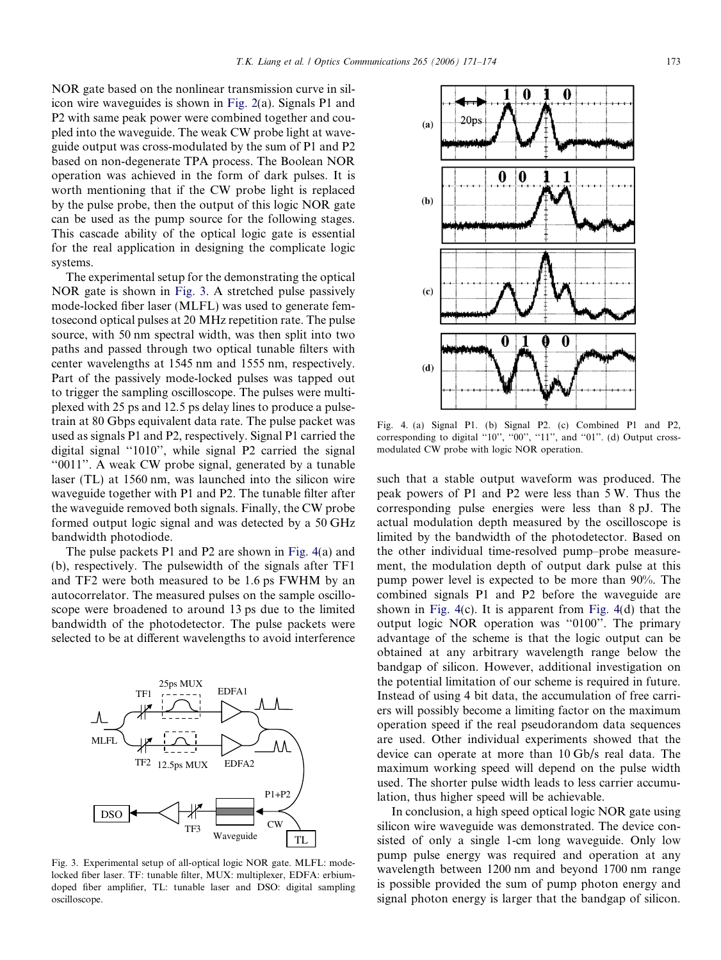NOR gate based on the nonlinear transmission curve in silicon wire waveguides is shown in [Fig. 2\(](#page-1-0)a). Signals P1 and P2 with same peak power were combined together and coupled into the waveguide. The weak CW probe light at waveguide output was cross-modulated by the sum of P1 and P2 based on non-degenerate TPA process. The Boolean NOR operation was achieved in the form of dark pulses. It is worth mentioning that if the CW probe light is replaced by the pulse probe, then the output of this logic NOR gate can be used as the pump source for the following stages. This cascade ability of the optical logic gate is essential for the real application in designing the complicate logic systems.

The experimental setup for the demonstrating the optical NOR gate is shown in Fig. 3. A stretched pulse passively mode-locked fiber laser (MLFL) was used to generate femtosecond optical pulses at 20 MHz repetition rate. The pulse source, with 50 nm spectral width, was then split into two paths and passed through two optical tunable filters with center wavelengths at 1545 nm and 1555 nm, respectively. Part of the passively mode-locked pulses was tapped out to trigger the sampling oscilloscope. The pulses were multiplexed with 25 ps and 12.5 ps delay lines to produce a pulsetrain at 80 Gbps equivalent data rate. The pulse packet was used as signals P1 and P2, respectively. Signal P1 carried the digital signal ''1010'', while signal P2 carried the signal ''0011''. A weak CW probe signal, generated by a tunable laser (TL) at 1560 nm, was launched into the silicon wire waveguide together with P1 and P2. The tunable filter after the waveguide removed both signals. Finally, the CW probe formed output logic signal and was detected by a 50 GHz bandwidth photodiode.

The pulse packets P1 and P2 are shown in Fig. 4(a) and (b), respectively. The pulsewidth of the signals after TF1 and TF2 were both measured to be 1.6 ps FWHM by an autocorrelator. The measured pulses on the sample oscilloscope were broadened to around 13 ps due to the limited bandwidth of the photodetector. The pulse packets were selected to be at different wavelengths to avoid interference



Fig. 3. Experimental setup of all-optical logic NOR gate. MLFL: modelocked fiber laser. TF: tunable filter, MUX: multiplexer, EDFA: erbiumdoped fiber amplifier, TL: tunable laser and DSO: digital sampling oscilloscope.



Fig. 4. (a) Signal P1. (b) Signal P2. (c) Combined P1 and P2, corresponding to digital "10", "00", "11", and "01". (d) Output crossmodulated CW probe with logic NOR operation.

such that a stable output waveform was produced. The peak powers of P1 and P2 were less than 5 W. Thus the corresponding pulse energies were less than 8 pJ. The actual modulation depth measured by the oscilloscope is limited by the bandwidth of the photodetector. Based on the other individual time-resolved pump–probe measurement, the modulation depth of output dark pulse at this pump power level is expected to be more than 90%. The combined signals P1 and P2 before the waveguide are shown in Fig. 4(c). It is apparent from Fig. 4(d) that the output logic NOR operation was ''0100''. The primary advantage of the scheme is that the logic output can be obtained at any arbitrary wavelength range below the bandgap of silicon. However, additional investigation on the potential limitation of our scheme is required in future. Instead of using 4 bit data, the accumulation of free carriers will possibly become a limiting factor on the maximum operation speed if the real pseudorandom data sequences are used. Other individual experiments showed that the device can operate at more than 10 Gb/s real data. The maximum working speed will depend on the pulse width used. The shorter pulse width leads to less carrier accumulation, thus higher speed will be achievable.

In conclusion, a high speed optical logic NOR gate using silicon wire waveguide was demonstrated. The device consisted of only a single 1-cm long waveguide. Only low pump pulse energy was required and operation at any wavelength between 1200 nm and beyond 1700 nm range is possible provided the sum of pump photon energy and signal photon energy is larger that the bandgap of silicon.